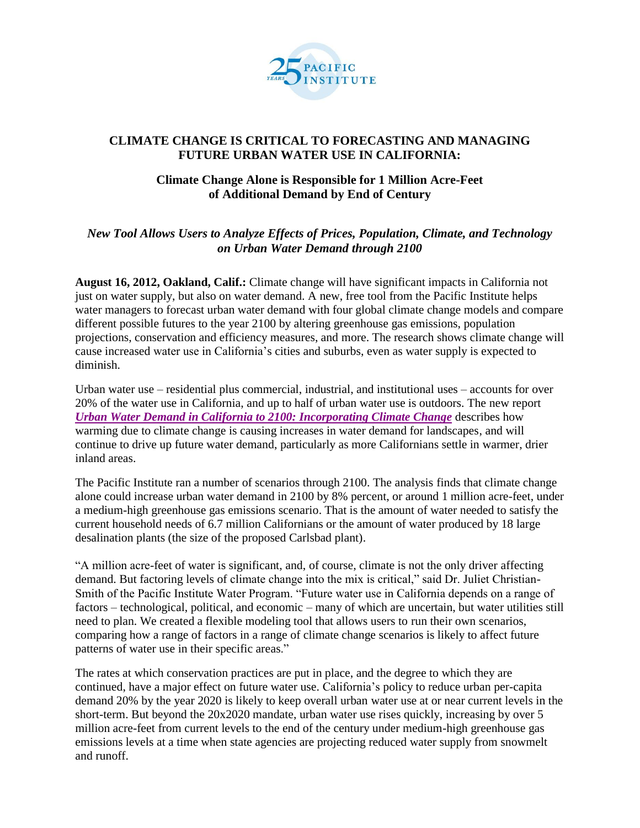

## **CLIMATE CHANGE IS CRITICAL TO FORECASTING AND MANAGING FUTURE URBAN WATER USE IN CALIFORNIA:**

## **Climate Change Alone is Responsible for 1 Million Acre-Feet of Additional Demand by End of Century**

## *New Tool Allows Users to Analyze Effects of Prices, Population, Climate, and Technology on Urban Water Demand through 2100*

**August 16, 2012, Oakland, Calif.:** Climate change will have significant impacts in California not just on water supply, but also on water demand. A new, free tool from the Pacific Institute helps water managers to forecast urban water demand with four global climate change models and compare different possible futures to the year 2100 by altering greenhouse gas emissions, population projections, conservation and efficiency measures, and more. The research shows climate change will cause increased water use in California's cities and suburbs, even as water supply is expected to diminish.

Urban water use – residential plus commercial, industrial, and institutional uses – accounts for over 20% of the water use in California, and up to half of urban water use is outdoors. The new report *[Urban Water Demand in California to 2100: Incorporating Climate Change](http://www.pacinst.org/reports/urban_water_demand_2100/index.htm)* describes how warming due to climate change is causing increases in water demand for landscapes, and will continue to drive up future water demand, particularly as more Californians settle in warmer, drier inland areas.

The Pacific Institute ran a number of scenarios through 2100. The analysis finds that climate change alone could increase urban water demand in 2100 by 8% percent, or around 1 million acre-feet, under a medium-high greenhouse gas emissions scenario. That is the amount of water needed to satisfy the current household needs of 6.7 million Californians or the amount of water produced by 18 large desalination plants (the size of the proposed Carlsbad plant).

"A million acre-feet of water is significant, and, of course, climate is not the only driver affecting demand. But factoring levels of climate change into the mix is critical," said Dr. Juliet Christian-Smith of the Pacific Institute Water Program. "Future water use in California depends on a range of factors – technological, political, and economic – many of which are uncertain, but water utilities still need to plan. We created a flexible modeling tool that allows users to run their own scenarios, comparing how a range of factors in a range of climate change scenarios is likely to affect future patterns of water use in their specific areas."

The rates at which conservation practices are put in place, and the degree to which they are continued, have a major effect on future water use. California's policy to reduce urban per-capita demand 20% by the year 2020 is likely to keep overall urban water use at or near current levels in the short-term. But beyond the 20x2020 mandate, urban water use rises quickly, increasing by over 5 million acre-feet from current levels to the end of the century under medium-high greenhouse gas emissions levels at a time when state agencies are projecting reduced water supply from snowmelt and runoff.